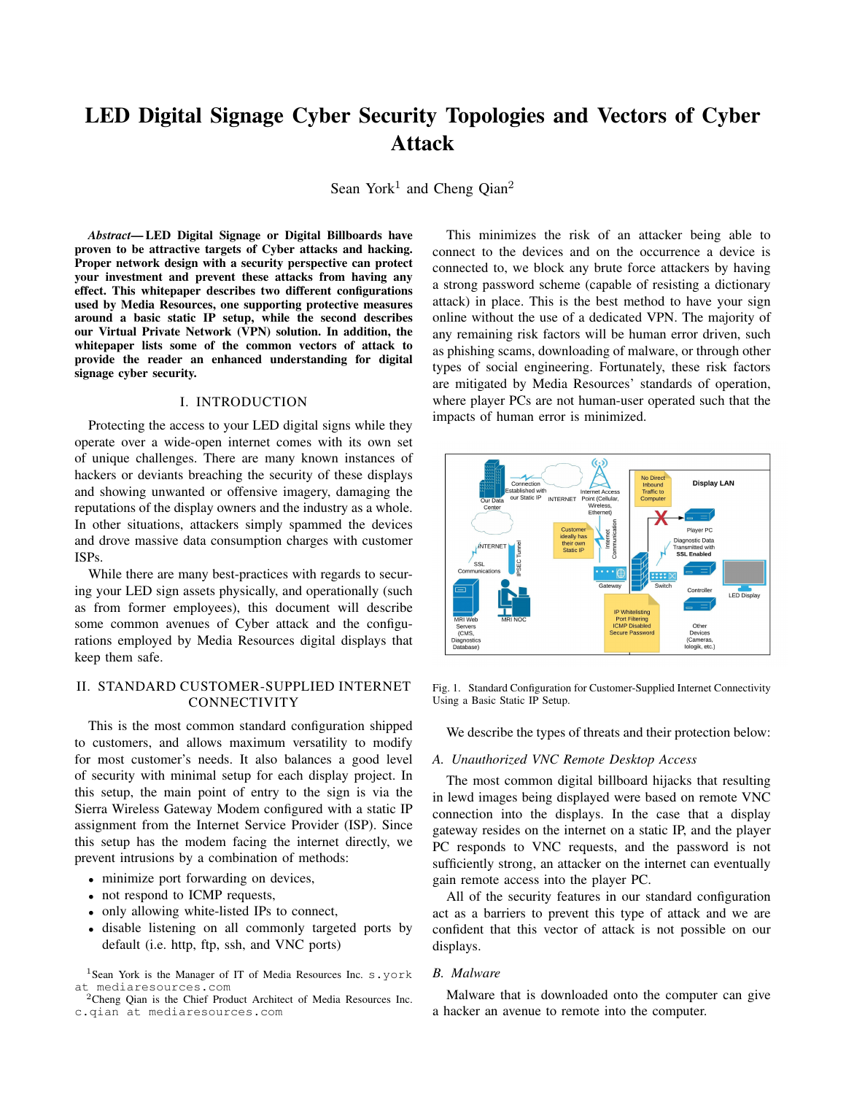# LED Digital Signage Cyber Security Topologies and Vectors of Cyber Attack

Sean York<sup>1</sup> and Cheng Qian<sup>2</sup>

*Abstract*— LED Digital Signage or Digital Billboards have proven to be attractive targets of Cyber attacks and hacking. Proper network design with a security perspective can protect your investment and prevent these attacks from having any effect. This whitepaper describes two different configurations used by Media Resources, one supporting protective measures around a basic static IP setup, while the second describes our Virtual Private Network (VPN) solution. In addition, the whitepaper lists some of the common vectors of attack to provide the reader an enhanced understanding for digital signage cyber security.

# I. INTRODUCTION

Protecting the access to your LED digital signs while they operate over a wide-open internet comes with its own set of unique challenges. There are many known instances of hackers or deviants breaching the security of these displays and showing unwanted or offensive imagery, damaging the reputations of the display owners and the industry as a whole. In other situations, attackers simply spammed the devices and drove massive data consumption charges with customer ISPs.

While there are many best-practices with regards to securing your LED sign assets physically, and operationally (such as from former employees), this document will describe some common avenues of Cyber attack and the configurations employed by Media Resources digital displays that keep them safe.

# II. STANDARD CUSTOMER-SUPPLIED INTERNET CONNECTIVITY

This is the most common standard configuration shipped to customers, and allows maximum versatility to modify for most customer's needs. It also balances a good level of security with minimal setup for each display project. In this setup, the main point of entry to the sign is via the Sierra Wireless Gateway Modem configured with a static IP assignment from the Internet Service Provider (ISP). Since this setup has the modem facing the internet directly, we prevent intrusions by a combination of methods:

- minimize port forwarding on devices,
- not respond to ICMP requests,
- only allowing white-listed IPs to connect,
- disable listening on all commonly targeted ports by default (i.e. http, ftp, ssh, and VNC ports)

This minimizes the risk of an attacker being able to connect to the devices and on the occurrence a device is connected to, we block any brute force attackers by having a strong password scheme (capable of resisting a dictionary attack) in place. This is the best method to have your sign online without the use of a dedicated VPN. The majority of any remaining risk factors will be human error driven, such as phishing scams, downloading of malware, or through other types of social engineering. Fortunately, these risk factors are mitigated by Media Resources' standards of operation, where player PCs are not human-user operated such that the impacts of human error is minimized.



Fig. 1. Standard Configuration for Customer-Supplied Internet Connectivity Using a Basic Static IP Setup.

We describe the types of threats and their protection below:

### *A. Unauthorized VNC Remote Desktop Access*

The most common digital billboard hijacks that resulting in lewd images being displayed were based on remote VNC connection into the displays. In the case that a display gateway resides on the internet on a static IP, and the player PC responds to VNC requests, and the password is not sufficiently strong, an attacker on the internet can eventually gain remote access into the player PC.

All of the security features in our standard configuration act as a barriers to prevent this type of attack and we are confident that this vector of attack is not possible on our displays.

# *B. Malware*

Malware that is downloaded onto the computer can give a hacker an avenue to remote into the computer.

<sup>&</sup>lt;sup>1</sup>Sean York is the Manager of IT of Media Resources Inc. s.york at mediaresources.com

<sup>2</sup>Cheng Qian is the Chief Product Architect of Media Resources Inc. c.qian at mediaresources.com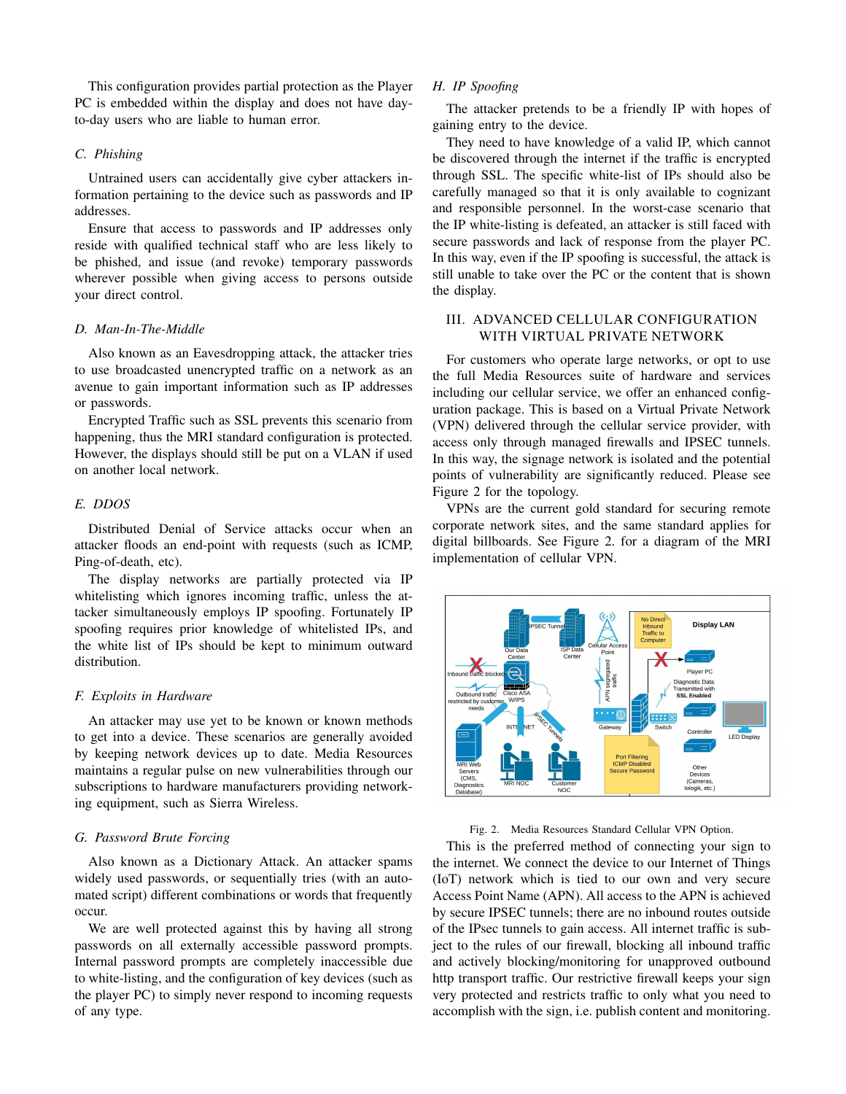This configuration provides partial protection as the Player PC is embedded within the display and does not have dayto-day users who are liable to human error.

# *C. Phishing*

Untrained users can accidentally give cyber attackers information pertaining to the device such as passwords and IP addresses.

Ensure that access to passwords and IP addresses only reside with qualified technical staff who are less likely to be phished, and issue (and revoke) temporary passwords wherever possible when giving access to persons outside your direct control.

## *D. Man-In-The-Middle*

Also known as an Eavesdropping attack, the attacker tries to use broadcasted unencrypted traffic on a network as an avenue to gain important information such as IP addresses or passwords.

Encrypted Traffic such as SSL prevents this scenario from happening, thus the MRI standard configuration is protected. However, the displays should still be put on a VLAN if used on another local network.

#### *E. DDOS*

Distributed Denial of Service attacks occur when an attacker floods an end-point with requests (such as ICMP, Ping-of-death, etc).

The display networks are partially protected via IP whitelisting which ignores incoming traffic, unless the attacker simultaneously employs IP spoofing. Fortunately IP spoofing requires prior knowledge of whitelisted IPs, and the white list of IPs should be kept to minimum outward distribution.

#### *F. Exploits in Hardware*

An attacker may use yet to be known or known methods to get into a device. These scenarios are generally avoided by keeping network devices up to date. Media Resources maintains a regular pulse on new vulnerabilities through our subscriptions to hardware manufacturers providing networking equipment, such as Sierra Wireless.

# *G. Password Brute Forcing*

Also known as a Dictionary Attack. An attacker spams widely used passwords, or sequentially tries (with an automated script) different combinations or words that frequently occur.

We are well protected against this by having all strong passwords on all externally accessible password prompts. Internal password prompts are completely inaccessible due to white-listing, and the configuration of key devices (such as the player PC) to simply never respond to incoming requests of any type.

# *H. IP Spoofing*

The attacker pretends to be a friendly IP with hopes of gaining entry to the device.

They need to have knowledge of a valid IP, which cannot be discovered through the internet if the traffic is encrypted through SSL. The specific white-list of IPs should also be carefully managed so that it is only available to cognizant and responsible personnel. In the worst-case scenario that the IP white-listing is defeated, an attacker is still faced with secure passwords and lack of response from the player PC. In this way, even if the IP spoofing is successful, the attack is still unable to take over the PC or the content that is shown the display.

# III. ADVANCED CELLULAR CONFIGURATION WITH VIRTUAL PRIVATE NETWORK

For customers who operate large networks, or opt to use the full Media Resources suite of hardware and services including our cellular service, we offer an enhanced configuration package. This is based on a Virtual Private Network (VPN) delivered through the cellular service provider, with access only through managed firewalls and IPSEC tunnels. In this way, the signage network is isolated and the potential points of vulnerability are significantly reduced. Please see Figure 2 for the topology.

VPNs are the current gold standard for securing remote corporate network sites, and the same standard applies for digital billboards. See Figure 2. for a diagram of the MRI implementation of cellular VPN.



Fig. 2. Media Resources Standard Cellular VPN Option.

This is the preferred method of connecting your sign to the internet. We connect the device to our Internet of Things (IoT) network which is tied to our own and very secure Access Point Name (APN). All access to the APN is achieved by secure IPSEC tunnels; there are no inbound routes outside of the IPsec tunnels to gain access. All internet traffic is subject to the rules of our firewall, blocking all inbound traffic and actively blocking/monitoring for unapproved outbound http transport traffic. Our restrictive firewall keeps your sign very protected and restricts traffic to only what you need to accomplish with the sign, i.e. publish content and monitoring.